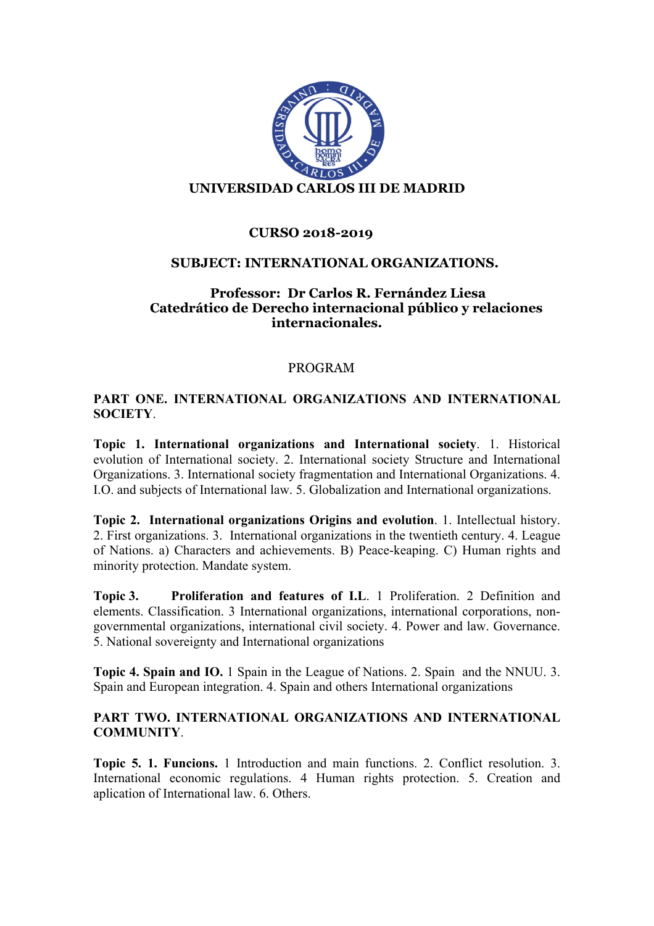

# **CURSO 2018-2019**

#### **SUBJECT: INTERNATIONAL ORGANIZATIONS.**

### **Professor: Dr Carlos R. Fernández Liesa Catedrático de Derecho internacional público y relaciones internacionales.**

#### PROGRAM

# **PART ONE. INTERNATIONAL ORGANIZATIONS AND INTERNATIONAL SOCIETY**.

**Topic 1. International organizations and International society**. 1. Historical evolution of International society. 2. International society Structure and International Organizations. 3. International society fragmentation and International Organizations. 4. I.O. and subjects of International law. 5. Globalization and International organizations.

**Topic 2. International organizations Origins and evolution**. 1. Intellectual history. 2. First organizations. 3. International organizations in the twentieth century. 4. League of Nations. a) Characters and achievements. B) Peace-keaping. C) Human rights and minority protection. Mandate system.

**Topic 3. Proliferation and features of I.L**. 1 Proliferation. 2 Definition and elements. Classification. 3 International organizations, international corporations, nongovernmental organizations, international civil society. 4. Power and law. Governance. 5. National sovereignty and International organizations

**Topic 4. Spain and IO.** 1 Spain in the League of Nations. 2. Spain and the NNUU. 3. Spain and European integration. 4. Spain and others International organizations

# **PART TWO. INTERNATIONAL ORGANIZATIONS AND INTERNATIONAL COMMUNITY**.

**Topic 5. 1. Funcions.** 1 Introduction and main functions. 2. Conflict resolution. 3. International economic regulations. 4 Human rights protection. 5. Creation and aplication of International law. 6. Others.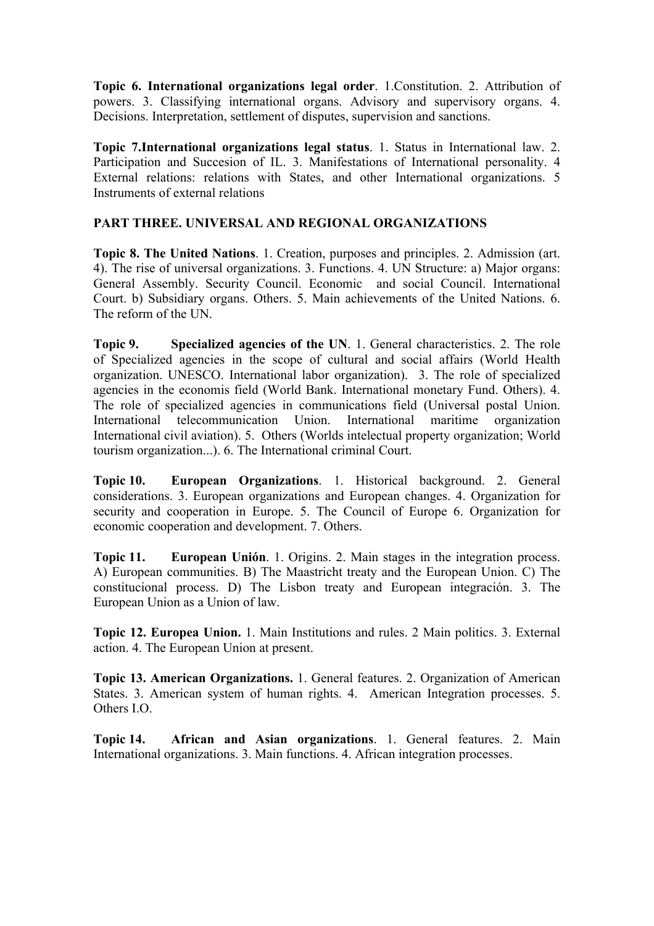**Topic 6. International organizations legal order**. 1.Constitution. 2. Attribution of powers. 3. Classifying international organs. Advisory and supervisory organs. 4. Decisions. Interpretation, settlement of disputes, supervision and sanctions.

**Topic 7.International organizations legal status**. 1. Status in International law. 2. Participation and Succesion of IL. 3. Manifestations of International personality. 4 External relations: relations with States, and other International organizations. 5 Instruments of external relations

# **PART THREE. UNIVERSAL AND REGIONAL ORGANIZATIONS**

**Topic 8. The United Nations**. 1. Creation, purposes and principles. 2. Admission (art. 4). The rise of universal organizations. 3. Functions. 4. UN Structure: a) Major organs: General Assembly. Security Council. Economic and social Council. International Court. b) Subsidiary organs. Others. 5. Main achievements of the United Nations. 6. The reform of the UN.

**Topic 9. Specialized agencies of the UN**. 1. General characteristics. 2. The role of Specialized agencies in the scope of cultural and social affairs (World Health organization. UNESCO. International labor organization). 3. The role of specialized agencies in the economis field (World Bank. International monetary Fund. Others). 4. The role of specialized agencies in communications field (Universal postal Union. International telecommunication Union. International maritime organization International civil aviation). 5. Others (Worlds intelectual property organization; World tourism organization...). 6. The International criminal Court.

**Topic 10. European Organizations**. 1. Historical background. 2. General considerations. 3. European organizations and European changes. 4. Organization for security and cooperation in Europe. 5. The Council of Europe 6. Organization for economic cooperation and development. 7. Others.

**Topic 11. European Unión**. 1. Origins. 2. Main stages in the integration process. A) European communities. B) The Maastricht treaty and the European Union. C) The constitucional process. D) The Lisbon treaty and European integración. 3. The European Union as a Union of law.

**Topic 12. Europea Union.** 1. Main Institutions and rules. 2 Main politics. 3. External action. 4. The European Union at present.

**Topic 13. American Organizations.** 1. General features. 2. Organization of American States. 3. American system of human rights. 4. American Integration processes. 5. Others I.O.

**Topic 14. African and Asian organizations**. 1. General features. 2. Main International organizations. 3. Main functions. 4. African integration processes.